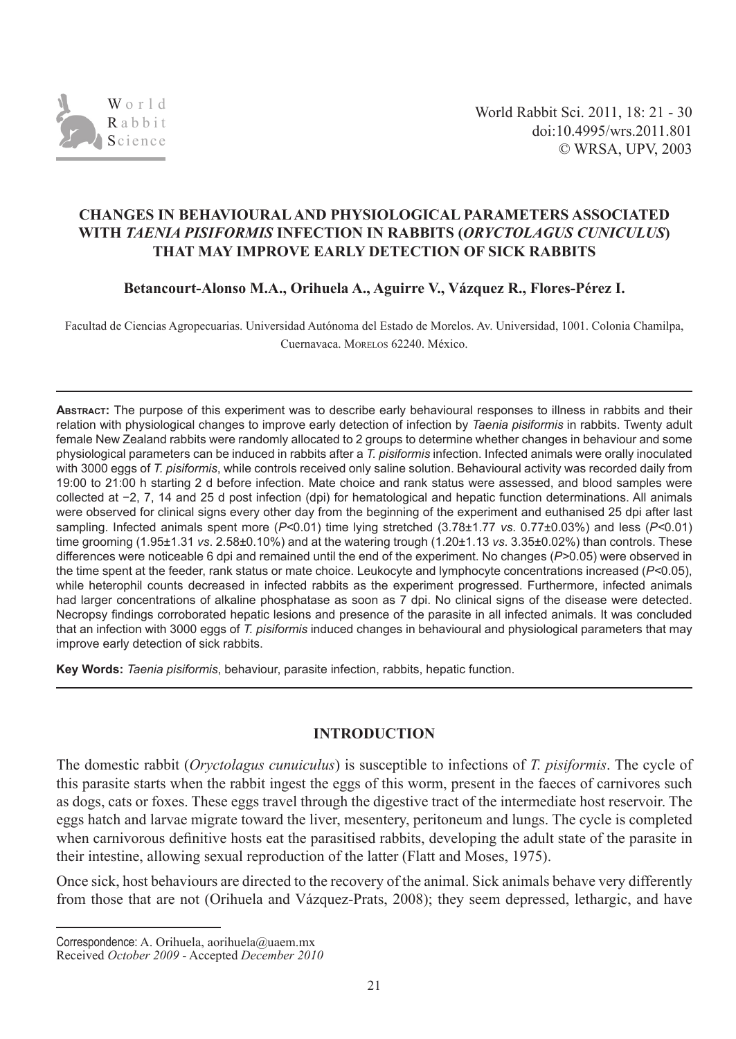

## **CHANGES IN BEHAVIOURAL AND PHYSIOLOGICAL PARAMETERS ASSOCIATED WITH** *TAENIA PISIFORMIS* **INFECTION IN RABBITS (***ORYCTOLAGUS CUNICULUS***) THAT MAY IMPROVE EARLY DETECTION OF SICK RABBITS**

**Betancourt-Alonso M.A., Orihuela A., Aguirre V., Vázquez R., Flores-Pérez I.**

Facultad de Ciencias Agropecuarias. Universidad Autónoma del Estado de Morelos. Av. Universidad, 1001. Colonia Chamilpa, Cuernavaca. Morelos 62240. México.

**ABSTRACT:** The purpose of this experiment was to describe early behavioural responses to illness in rabbits and their relation with physiological changes to improve early detection of infection by *Taenia pisiformis* in rabbits. Twenty adult female New Zealand rabbits were randomly allocated to 2 groups to determine whether changes in behaviour and some physiological parameters can be induced in rabbits after a *T. pisiformis* infection. Infected animals were orally inoculated with 3000 eggs of *T. pisiformis*, while controls received only saline solution. Behavioural activity was recorded daily from 19:00 to 21:00 h starting 2 d before infection. Mate choice and rank status were assessed, and blood samples were collected at −2, 7, 14 and 25 d post infection (dpi) for hematological and hepatic function determinations. All animals were observed for clinical signs every other day from the beginning of the experiment and euthanised 25 dpi after last sampling. Infected animals spent more (*P<*0.01) time lying stretched (3.78±1.77 *vs*. 0.77±0.03%) and less (*P<*0.01) time grooming (1.95±1.31 *vs*. 2.58±0.10%) and at the watering trough (1.20±1.13 *vs*. 3.35±0.02%) than controls. These differences were noticeable 6 dpi and remained until the end of the experiment. No changes (*P>*0.05) were observed in the time spent at the feeder, rank status or mate choice. Leukocyte and lymphocyte concentrations increased (*P<*0.05), while heterophil counts decreased in infected rabbits as the experiment progressed. Furthermore, infected animals had larger concentrations of alkaline phosphatase as soon as 7 dpi. No clinical signs of the disease were detected. Necropsy findings corroborated hepatic lesions and presence of the parasite in all infected animals. It was concluded that an infection with 3000 eggs of *T. pisiformis* induced changes in behavioural and physiological parameters that may improve early detection of sick rabbits.

**Key Words:** *Taenia pisiformis*, behaviour, parasite infection, rabbits, hepatic function.

# **INTRODUCTION**

The domestic rabbit (*Oryctolagus cunuiculus*) is susceptible to infections of *T. pisiformis*. The cycle of this parasite starts when the rabbit ingest the eggs of this worm, present in the faeces of carnivores such as dogs, cats or foxes. These eggs travel through the digestive tract of the intermediate host reservoir. The eggs hatch and larvae migrate toward the liver, mesentery, peritoneum and lungs. The cycle is completed when carnivorous definitive hosts eat the parasitised rabbits, developing the adult state of the parasite in their intestine, allowing sexual reproduction of the latter (Flatt and Moses, 1975).

Once sick, host behaviours are directed to the recovery of the animal. Sick animals behave very differently from those that are not (Orihuela and Vázquez-Prats, 2008); they seem depressed, lethargic, and have

Correspondence: A. Orihuela, aorihuela@uaem.mx

Received *October 2009* - Accepted *December 2010*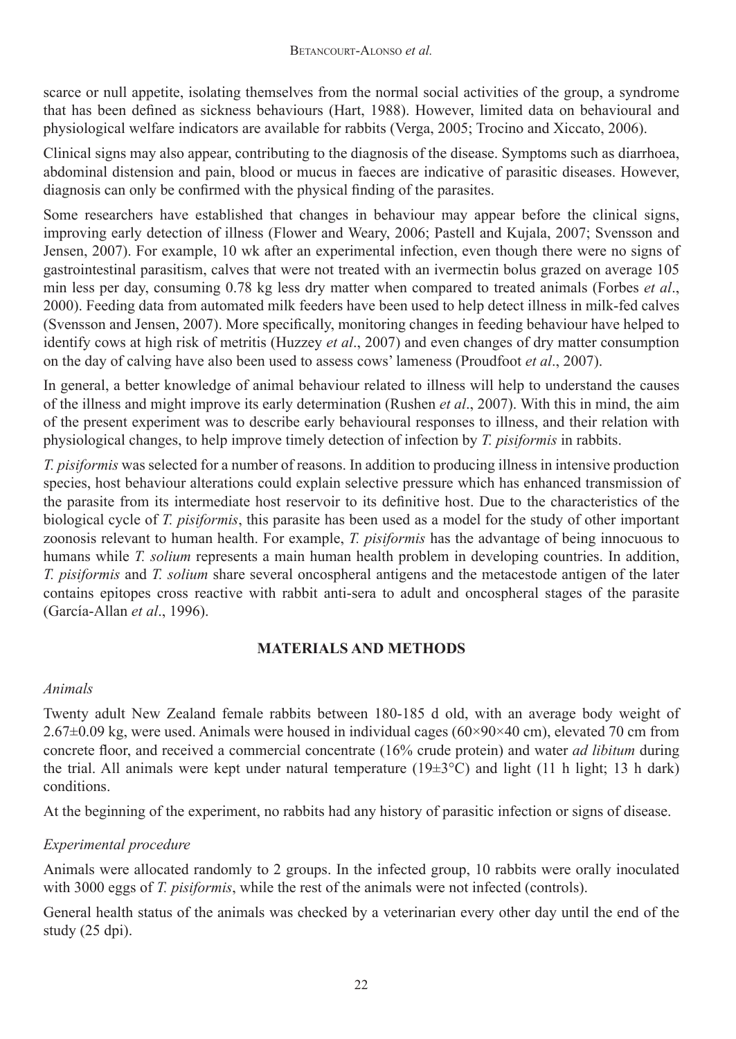scarce or null appetite, isolating themselves from the normal social activities of the group, a syndrome that has been defined as sickness behaviours (Hart, 1988). However, limited data on behavioural and physiological welfare indicators are available for rabbits (Verga, 2005; Trocino and Xiccato, 2006).

Clinical signs may also appear, contributing to the diagnosis of the disease. Symptoms such as diarrhoea, abdominal distension and pain, blood or mucus in faeces are indicative of parasitic diseases. However, diagnosis can only be confirmed with the physical finding of the parasites.

Some researchers have established that changes in behaviour may appear before the clinical signs, improving early detection of illness (Flower and Weary, 2006; Pastell and Kujala, 2007; Svensson and Jensen, 2007). For example, 10 wk after an experimental infection, even though there were no signs of gastrointestinal parasitism, calves that were not treated with an ivermectin bolus grazed on average 105 min less per day, consuming 0.78 kg less dry matter when compared to treated animals (Forbes *et al*., 2000). Feeding data from automated milk feeders have been used to help detect illness in milk-fed calves (Svensson and Jensen, 2007). More specifically, monitoring changes in feeding behaviour have helped to identify cows at high risk of metritis (Huzzey *et al*., 2007) and even changes of dry matter consumption on the day of calving have also been used to assess cows' lameness (Proudfoot *et al*., 2007).

In general, a better knowledge of animal behaviour related to illness will help to understand the causes of the illness and might improve its early determination (Rushen *et al*., 2007). With this in mind, the aim of the present experiment was to describe early behavioural responses to illness, and their relation with physiological changes, to help improve timely detection of infection by *T. pisiformis* in rabbits.

*T. pisiformis* was selected for a number of reasons. In addition to producing illness in intensive production species, host behaviour alterations could explain selective pressure which has enhanced transmission of the parasite from its intermediate host reservoir to its definitive host. Due to the characteristics of the biological cycle of *T. pisiformis*, this parasite has been used as a model for the study of other important zoonosis relevant to human health. For example, *T. pisiformis* has the advantage of being innocuous to humans while *T. solium* represents a main human health problem in developing countries. In addition, *T. pisiformis* and *T. solium* share several oncospheral antigens and the metacestode antigen of the later contains epitopes cross reactive with rabbit anti-sera to adult and oncospheral stages of the parasite (García-Allan *et al*., 1996).

# **MATERIALS AND METHODS**

# *Animals*

Twenty adult New Zealand female rabbits between 180-185 d old, with an average body weight of  $2.67\pm0.09$  kg, were used. Animals were housed in individual cages ( $60\times90\times40$  cm), elevated 70 cm from concrete floor, and received a commercial concentrate (16% crude protein) and water *ad libitum* during the trial. All animals were kept under natural temperature  $(19\pm3^{\circ}C)$  and light (11 h light; 13 h dark) conditions.

At the beginning of the experiment, no rabbits had any history of parasitic infection or signs of disease.

# *Experimental procedure*

Animals were allocated randomly to 2 groups. In the infected group, 10 rabbits were orally inoculated with 3000 eggs of *T. pisiformis*, while the rest of the animals were not infected (controls).

General health status of the animals was checked by a veterinarian every other day until the end of the study (25 dpi).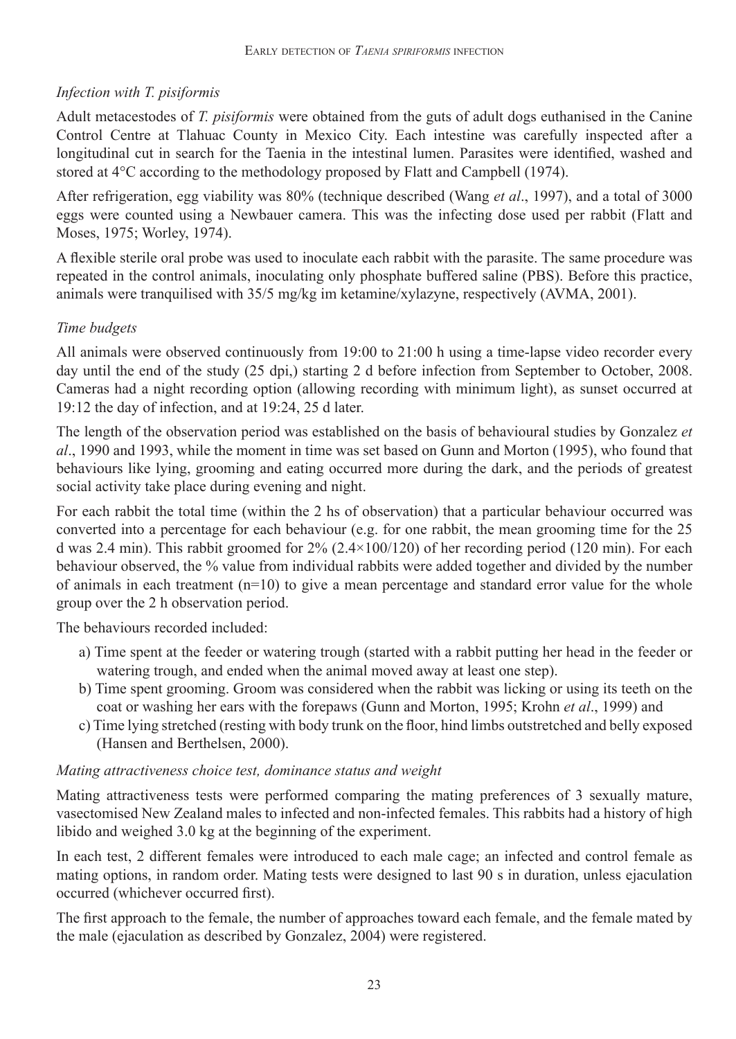# *Infection with T. pisiformis*

Adult metacestodes of *T. pisiformis* were obtained from the guts of adult dogs euthanised in the Canine Control Centre at Tlahuac County in Mexico City. Each intestine was carefully inspected after a longitudinal cut in search for the Taenia in the intestinal lumen. Parasites were identified, washed and stored at 4°C according to the methodology proposed by Flatt and Campbell (1974).

After refrigeration, egg viability was 80% (technique described (Wang *et al*., 1997), and a total of 3000 eggs were counted using a Newbauer camera. This was the infecting dose used per rabbit (Flatt and Moses, 1975; Worley, 1974).

A flexible sterile oral probe was used to inoculate each rabbit with the parasite. The same procedure was repeated in the control animals, inoculating only phosphate buffered saline (PBS). Before this practice, animals were tranquilised with 35/5 mg/kg im ketamine/xylazyne, respectively (AVMA, 2001).

# *Time budgets*

All animals were observed continuously from 19:00 to 21:00 h using a time-lapse video recorder every day until the end of the study (25 dpi,) starting 2 d before infection from September to October, 2008. Cameras had a night recording option (allowing recording with minimum light), as sunset occurred at 19:12 the day of infection, and at 19:24, 25 d later.

The length of the observation period was established on the basis of behavioural studies by Gonzalez *et al*., 1990 and 1993, while the moment in time was set based on Gunn and Morton (1995), who found that behaviours like lying, grooming and eating occurred more during the dark, and the periods of greatest social activity take place during evening and night.

For each rabbit the total time (within the 2 hs of observation) that a particular behaviour occurred was converted into a percentage for each behaviour (e.g. for one rabbit, the mean grooming time for the 25 d was 2.4 min). This rabbit groomed for 2% (2.4×100/120) of her recording period (120 min). For each behaviour observed, the % value from individual rabbits were added together and divided by the number of animals in each treatment  $(n=10)$  to give a mean percentage and standard error value for the whole group over the 2 h observation period.

The behaviours recorded included:

- a) Time spent at the feeder or watering trough (started with a rabbit putting her head in the feeder or watering trough, and ended when the animal moved away at least one step).
- b) Time spent grooming. Groom was considered when the rabbit was licking or using its teeth on the coat or washing her ears with the forepaws (Gunn and Morton, 1995; Krohn *et al*., 1999) and
- c) Time lying stretched (resting with body trunk on the floor, hind limbs outstretched and belly exposed (Hansen and Berthelsen, 2000).

# *Mating attractiveness choice test, dominance status and weight*

Mating attractiveness tests were performed comparing the mating preferences of 3 sexually mature, vasectomised New Zealand males to infected and non-infected females. This rabbits had a history of high libido and weighed 3.0 kg at the beginning of the experiment.

In each test, 2 different females were introduced to each male cage; an infected and control female as mating options, in random order. Mating tests were designed to last 90 s in duration, unless ejaculation occurred (whichever occurred first).

The first approach to the female, the number of approaches toward each female, and the female mated by the male (ejaculation as described by Gonzalez, 2004) were registered.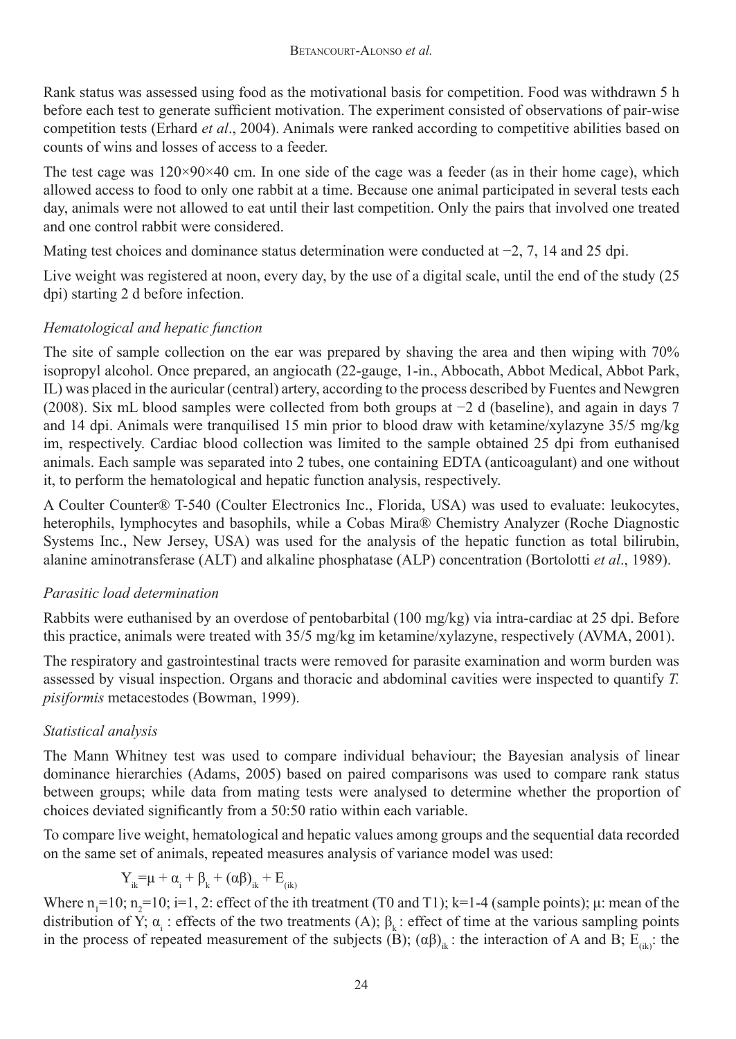Rank status was assessed using food as the motivational basis for competition. Food was withdrawn 5 h before each test to generate sufficient motivation. The experiment consisted of observations of pair-wise competition tests (Erhard *et al*., 2004). Animals were ranked according to competitive abilities based on counts of wins and losses of access to a feeder.

The test cage was  $120\times90\times40$  cm. In one side of the cage was a feeder (as in their home cage), which allowed access to food to only one rabbit at a time. Because one animal participated in several tests each day, animals were not allowed to eat until their last competition. Only the pairs that involved one treated and one control rabbit were considered.

Mating test choices and dominance status determination were conducted at −2, 7, 14 and 25 dpi.

Live weight was registered at noon, every day, by the use of a digital scale, until the end of the study (25 dpi) starting 2 d before infection.

# *Hematological and hepatic function*

The site of sample collection on the ear was prepared by shaving the area and then wiping with 70% isopropyl alcohol. Once prepared, an angiocath (22-gauge, 1-in., Abbocath, Abbot Medical, Abbot Park, IL) was placed in the auricular (central) artery, according to the process described by Fuentes and Newgren (2008). Six mL blood samples were collected from both groups at −2 d (baseline), and again in days 7 and 14 dpi. Animals were tranquilised 15 min prior to blood draw with ketamine/xylazyne 35/5 mg/kg im, respectively. Cardiac blood collection was limited to the sample obtained 25 dpi from euthanised animals. Each sample was separated into 2 tubes, one containing EDTA (anticoagulant) and one without it, to perform the hematological and hepatic function analysis, respectively.

A Coulter Counter® T-540 (Coulter Electronics Inc., Florida, USA) was used to evaluate: leukocytes, heterophils, lymphocytes and basophils, while a Cobas Mira® Chemistry Analyzer (Roche Diagnostic Systems Inc., New Jersey, USA) was used for the analysis of the hepatic function as total bilirubin, alanine aminotransferase (ALT) and alkaline phosphatase (ALP) concentration (Bortolotti *et al*., 1989).

# *Parasitic load determination*

Rabbits were euthanised by an overdose of pentobarbital (100 mg/kg) via intra-cardiac at 25 dpi. Before this practice, animals were treated with 35/5 mg/kg im ketamine/xylazyne, respectively (AVMA, 2001).

The respiratory and gastrointestinal tracts were removed for parasite examination and worm burden was assessed by visual inspection. Organs and thoracic and abdominal cavities were inspected to quantify *T. pisiformis* metacestodes (Bowman, 1999).

# *Statistical analysis*

The Mann Whitney test was used to compare individual behaviour; the Bayesian analysis of linear dominance hierarchies (Adams, 2005) based on paired comparisons was used to compare rank status between groups; while data from mating tests were analysed to determine whether the proportion of choices deviated significantly from a 50:50 ratio within each variable.

To compare live weight, hematological and hepatic values among groups and the sequential data recorded on the same set of animals, repeated measures analysis of variance model was used:

$$
Y_{ik}\!\! = \!\! \mu + \alpha_i + \beta_k + \left(\alpha\beta\right)_{ik} + E_{(ik)}
$$

Where  $n_1 = 10$ ;  $n_2 = 10$ ;  $i=1, 2$ : effect of the ith treatment (T0 and T1); k=1-4 (sample points);  $\mu$ : mean of the distribution of Y;  $\alpha_i$ : effects of the two treatments (A);  $\beta_k$ : effect of time at the various sampling points in the process of repeated measurement of the subjects  $(B)$ ;  $(\alpha\beta)$ <sub>ik</sub>: the interaction of A and B; E<sub>(ik)</sub>: the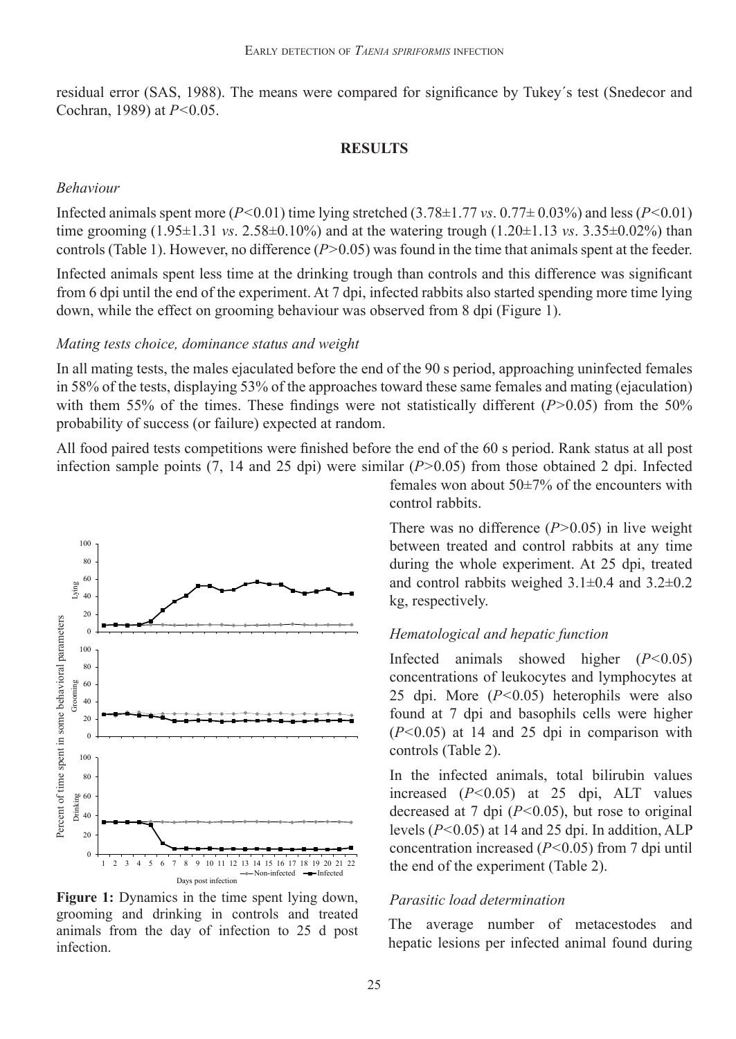residual error (SAS, 1988). The means were compared for significance by Tukey´s test (Snedecor and Cochran, 1989) at *P<*0.05.

#### **RESULTS**

#### *Behaviour*

Infected animals spent more ( $P<0.01$ ) time lying stretched (3.78 $\pm$ 1.77 *vs*. 0.77 $\pm$  0.03%) and less ( $P<0.01$ ) time grooming  $(1.95\pm1.31 \text{ vs. } 2.58\pm0.10\%)$  and at the watering trough  $(1.20\pm1.13 \text{ vs. } 3.35\pm0.02\%)$  than controls (Table 1). However, no difference (*P>*0.05) was found in the time that animals spent at the feeder.

Infected animals spent less time at the drinking trough than controls and this difference was significant from 6 dpi until the end of the experiment. At 7 dpi, infected rabbits also started spending more time lying down, while the effect on grooming behaviour was observed from 8 dpi (Figure 1).

#### *Mating tests choice, dominance status and weight*

In all mating tests, the males ejaculated before the end of the 90 s period, approaching uninfected females in 58% of the tests, displaying 53% of the approaches toward these same females and mating (ejaculation) with them 55% of the times. These findings were not statistically different (*P*>0.05) from the 50% probability of success (or failure) expected at random.

All food paired tests competitions were finished before the end of the 60 s period. Rank status at all post infection sample points (7, 14 and 25 dpi) were similar (*P>*0.05) from those obtained 2 dpi. Infected



Figure 1: Dynamics in the time spent lying down, grooming and drinking in controls and treated animals from the day of infection to 25 d post infection.

females won about  $50\pm7\%$  of the encounters with control rabbits.

There was no difference (*P>*0.05) in live weight between treated and control rabbits at any time during the whole experiment. At 25 dpi, treated and control rabbits weighed 3.1±0.4 and 3.2±0.2 kg, respectively.

### *Hematological and hepatic function*

Infected animals showed higher (*P<*0.05) concentrations of leukocytes and lymphocytes at 25 dpi. More (*P<*0.05) heterophils were also found at 7 dpi and basophils cells were higher (*P<*0.05) at 14 and 25 dpi in comparison with controls (Table 2).

In the infected animals, total bilirubin values increased (*P<*0.05) at 25 dpi, ALT values decreased at 7 dpi (*P<*0.05), but rose to original levels (*P<*0.05) at 14 and 25 dpi. In addition, ALP concentration increased (*P<*0.05) from 7 dpi until the end of the experiment (Table 2).

## *Parasitic load determination*

The average number of metacestodes and hepatic lesions per infected animal found during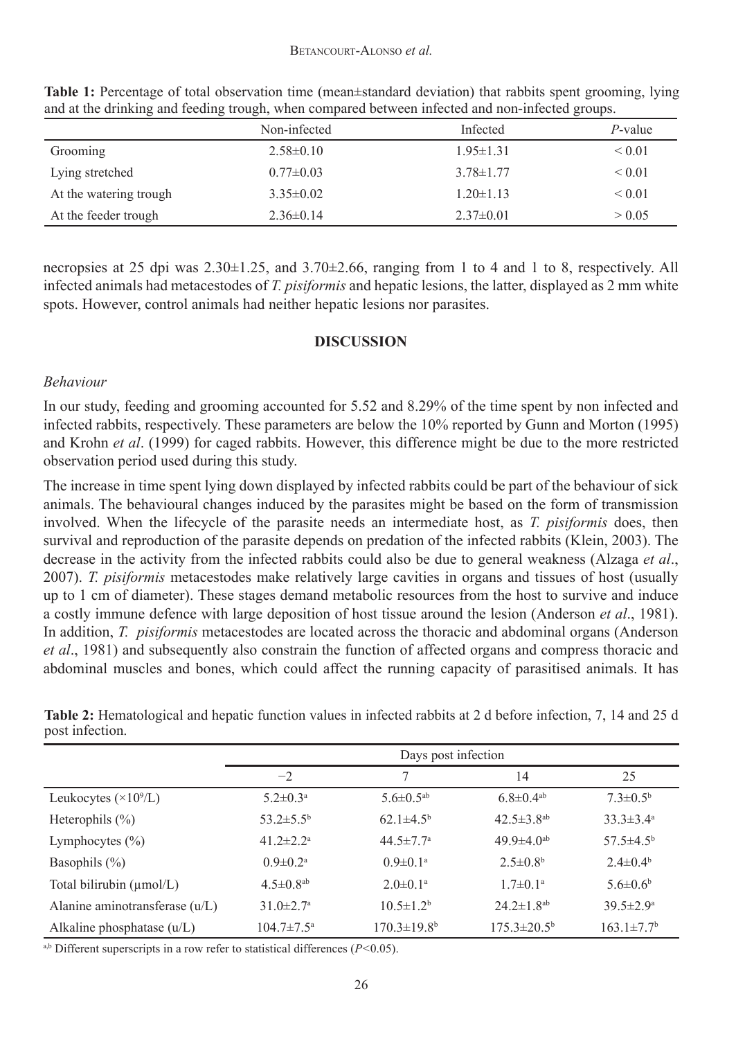|                        | Non-infected    | Infected        | <i>P</i> -value |
|------------------------|-----------------|-----------------|-----------------|
| Grooming               | $2.58 \pm 0.10$ | $1.95 \pm 1.31$ | ${}_{0.01}$     |
| Lying stretched        | $0.77 \pm 0.03$ | $3.78 \pm 1.77$ | ${}_{0.01}$     |
| At the watering trough | $3.35\pm0.02$   | $1.20 \pm 1.13$ | ${}_{0.01}$     |
| At the feeder trough   | $2.36\pm0.14$   | $2.37\pm0.01$   | > 0.05          |

**Table 1:** Percentage of total observation time (mean±standard deviation) that rabbits spent grooming, lying and at the drinking and feeding trough, when compared between infected and non-infected groups.

necropsies at 25 dpi was 2.30±1.25, and 3.70±2.66, ranging from 1 to 4 and 1 to 8, respectively. All infected animals had metacestodes of *T. pisiformis* and hepatic lesions, the latter, displayed as 2 mm white spots. However, control animals had neither hepatic lesions nor parasites.

## **DISCUSSION**

## *Behaviour*

In our study, feeding and grooming accounted for 5.52 and 8.29% of the time spent by non infected and infected rabbits, respectively. These parameters are below the 10% reported by Gunn and Morton (1995) and Krohn *et al*. (1999) for caged rabbits. However, this difference might be due to the more restricted observation period used during this study.

The increase in time spent lying down displayed by infected rabbits could be part of the behaviour of sick animals. The behavioural changes induced by the parasites might be based on the form of transmission involved. When the lifecycle of the parasite needs an intermediate host, as *T. pisiformis* does, then survival and reproduction of the parasite depends on predation of the infected rabbits (Klein, 2003). The decrease in the activity from the infected rabbits could also be due to general weakness (Alzaga *et al*., 2007). *T. pisiformis* metacestodes make relatively large cavities in organs and tissues of host (usually up to 1 cm of diameter). These stages demand metabolic resources from the host to survive and induce a costly immune defence with large deposition of host tissue around the lesion (Anderson *et al*., 1981). In addition, *T. pisiformis* metacestodes are located across the thoracic and abdominal organs (Anderson *et al*., 1981) and subsequently also constrain the function of affected organs and compress thoracic and abdominal muscles and bones, which could affect the running capacity of parasitised animals. It has

|                                  | Days post infection          |                               |                              |                             |
|----------------------------------|------------------------------|-------------------------------|------------------------------|-----------------------------|
|                                  | $-2$                         |                               | 14                           | 25                          |
| Leukocytes $(\times 10^9/L)$     | $5.2 \pm 0.3^{\text{a}}$     | $5.6 \pm 0.5$ <sup>ab</sup>   | $6.8 \pm 0.4$ <sup>ab</sup>  | $7.3 \pm 0.5^{\rm b}$       |
| Heterophils $(\% )$              | $53.2 \pm 5.5^{\rm b}$       | $62.1 \pm 4.5^{\rm b}$        | $42.5 \pm 3.8$ <sup>ab</sup> | $33.3 \pm 3.4^a$            |
| Lymphocytes $(\% )$              | $41.2 \pm 2.2$ <sup>a</sup>  | $44.5 \pm 7.7$ <sup>a</sup>   | $49.9 \pm 4.0$ <sup>ab</sup> | $57.5 \pm 4.5^{\rm b}$      |
| Basophils $(\% )$                | $0.9 \pm 0.2$ <sup>a</sup>   | $0.9 \pm 0.1$ <sup>a</sup>    | $2.5 \pm 0.8^b$              | $2.4 \pm 0.4^b$             |
| Total bilirubin (µmol/L)         | $4.5 \pm 0.8$ <sup>ab</sup>  | $2.0 \pm 0.1$ <sup>a</sup>    | $1.7 \pm 0.1^{\text{a}}$     | $5.6 \pm 0.6^b$             |
| Alanine aminotransferase $(u/L)$ | $31.0 \pm 2.7$ <sup>a</sup>  | $10.5 \pm 1.2^b$              | $24.2 \pm 1.8$ <sup>ab</sup> | $39.5 \pm 2.9^{\mathrm{a}}$ |
| Alkaline phosphatase (u/L)       | $104.7 \pm 7.5^{\mathrm{a}}$ | $170.3 \pm 19.8$ <sup>b</sup> | $175.3 \pm 20.5^{\circ}$     | $163.1 \pm 7.7^b$           |

**Table 2:** Hematological and hepatic function values in infected rabbits at 2 d before infection, 7, 14 and 25 d post infection.

a,b Different superscripts in a row refer to statistical differences (*P<*0.05).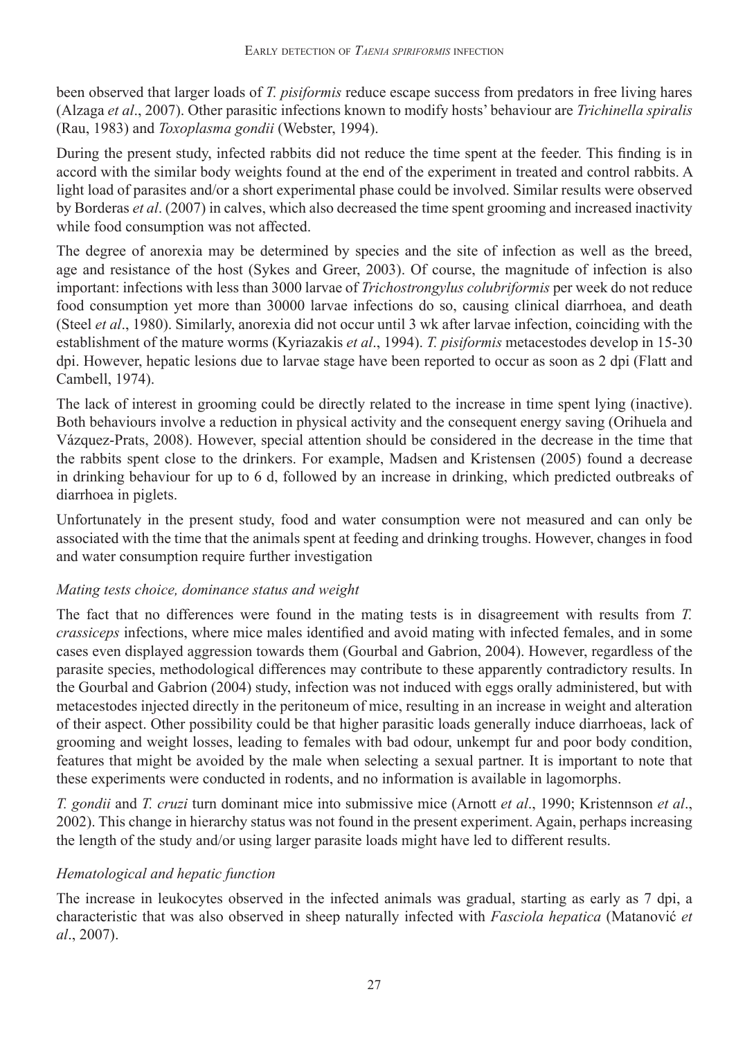been observed that larger loads of *T. pisiformis* reduce escape success from predators in free living hares (Alzaga *et al*., 2007). Other parasitic infections known to modify hosts' behaviour are *Trichinella spiralis*  (Rau, 1983) and *Toxoplasma gondii* (Webster, 1994).

During the present study, infected rabbits did not reduce the time spent at the feeder. This finding is in accord with the similar body weights found at the end of the experiment in treated and control rabbits. A light load of parasites and/or a short experimental phase could be involved. Similar results were observed by Borderas *et al*. (2007) in calves, which also decreased the time spent grooming and increased inactivity while food consumption was not affected.

The degree of anorexia may be determined by species and the site of infection as well as the breed, age and resistance of the host (Sykes and Greer, 2003). Of course, the magnitude of infection is also important: infections with less than 3000 larvae of *Trichostrongylus colubriformis* per week do not reduce food consumption yet more than 30000 larvae infections do so, causing clinical diarrhoea, and death (Steel *et al*., 1980). Similarly, anorexia did not occur until 3 wk after larvae infection, coinciding with the establishment of the mature worms (Kyriazakis *et al*., 1994). *T. pisiformis* metacestodes develop in 15-30 dpi. However, hepatic lesions due to larvae stage have been reported to occur as soon as 2 dpi (Flatt and Cambell, 1974).

The lack of interest in grooming could be directly related to the increase in time spent lying (inactive). Both behaviours involve a reduction in physical activity and the consequent energy saving (Orihuela and Vázquez-Prats, 2008). However, special attention should be considered in the decrease in the time that the rabbits spent close to the drinkers. For example, Madsen and Kristensen (2005) found a decrease in drinking behaviour for up to 6 d, followed by an increase in drinking, which predicted outbreaks of diarrhoea in piglets.

Unfortunately in the present study, food and water consumption were not measured and can only be associated with the time that the animals spent at feeding and drinking troughs. However, changes in food and water consumption require further investigation

# *Mating tests choice, dominance status and weight*

The fact that no differences were found in the mating tests is in disagreement with results from *T. crassiceps* infections, where mice males identified and avoid mating with infected females, and in some cases even displayed aggression towards them (Gourbal and Gabrion, 2004). However, regardless of the parasite species, methodological differences may contribute to these apparently contradictory results. In the Gourbal and Gabrion (2004) study, infection was not induced with eggs orally administered, but with metacestodes injected directly in the peritoneum of mice, resulting in an increase in weight and alteration of their aspect. Other possibility could be that higher parasitic loads generally induce diarrhoeas, lack of grooming and weight losses, leading to females with bad odour, unkempt fur and poor body condition, features that might be avoided by the male when selecting a sexual partner. It is important to note that these experiments were conducted in rodents, and no information is available in lagomorphs.

*T. gondii* and *T. cruzi* turn dominant mice into submissive mice (Arnott *et al*., 1990; Kristennson *et al*., 2002). This change in hierarchy status was not found in the present experiment. Again, perhaps increasing the length of the study and/or using larger parasite loads might have led to different results.

## *Hematological and hepatic function*

The increase in leukocytes observed in the infected animals was gradual, starting as early as 7 dpi, a characteristic that was also observed in sheep naturally infected with *Fasciola hepatica* (Matanović *et al*., 2007).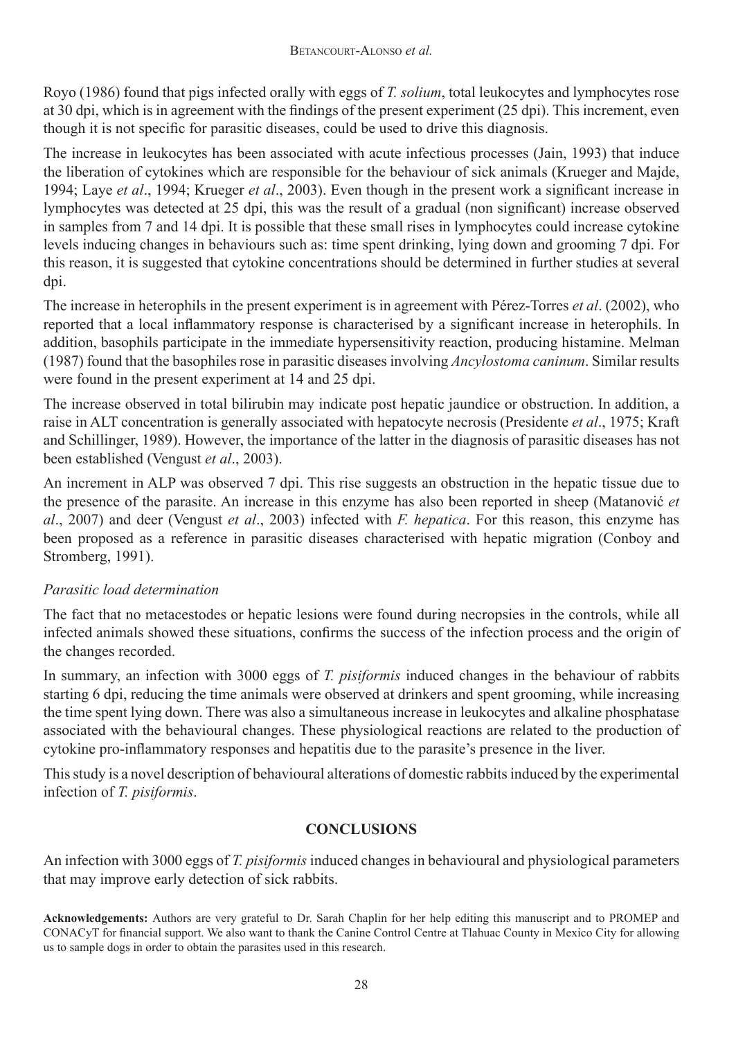Royo (1986) found that pigs infected orally with eggs of *T. solium*, total leukocytes and lymphocytes rose at 30 dpi, which is in agreement with the findings of the present experiment (25 dpi). This increment, even though it is not specific for parasitic diseases, could be used to drive this diagnosis.

The increase in leukocytes has been associated with acute infectious processes (Jain, 1993) that induce the liberation of cytokines which are responsible for the behaviour of sick animals (Krueger and Majde, 1994; Laye *et al*., 1994; Krueger *et al*., 2003). Even though in the present work a significant increase in lymphocytes was detected at 25 dpi, this was the result of a gradual (non significant) increase observed in samples from 7 and 14 dpi. It is possible that these small rises in lymphocytes could increase cytokine levels inducing changes in behaviours such as: time spent drinking, lying down and grooming 7 dpi. For this reason, it is suggested that cytokine concentrations should be determined in further studies at several dpi.

The increase in heterophils in the present experiment is in agreement with Pérez-Torres *et al*. (2002), who reported that a local inflammatory response is characterised by a significant increase in heterophils. In addition, basophils participate in the immediate hypersensitivity reaction, producing histamine. Melman (1987) found that the basophiles rose in parasitic diseases involving *Ancylostoma caninum*. Similar results were found in the present experiment at 14 and 25 dpi.

The increase observed in total bilirubin may indicate post hepatic jaundice or obstruction. In addition, a raise in ALT concentration is generally associated with hepatocyte necrosis (Presidente *et al*., 1975; Kraft and Schillinger, 1989). However, the importance of the latter in the diagnosis of parasitic diseases has not been established (Vengust *et al*., 2003).

An increment in ALP was observed 7 dpi. This rise suggests an obstruction in the hepatic tissue due to the presence of the parasite. An increase in this enzyme has also been reported in sheep (Matanović *et al*., 2007) and deer (Vengust *et al*., 2003) infected with *F. hepatica*. For this reason, this enzyme has been proposed as a reference in parasitic diseases characterised with hepatic migration (Conboy and Stromberg, 1991).

# *Parasitic load determination*

The fact that no metacestodes or hepatic lesions were found during necropsies in the controls, while all infected animals showed these situations, confirms the success of the infection process and the origin of the changes recorded.

In summary, an infection with 3000 eggs of *T. pisiformis* induced changes in the behaviour of rabbits starting 6 dpi, reducing the time animals were observed at drinkers and spent grooming, while increasing the time spent lying down. There was also a simultaneous increase in leukocytes and alkaline phosphatase associated with the behavioural changes. These physiological reactions are related to the production of cytokine pro-inflammatory responses and hepatitis due to the parasite's presence in the liver.

This study is a novel description of behavioural alterations of domestic rabbits induced by the experimental infection of *T. pisiformis*.

# **CONCLUSIONS**

An infection with 3000 eggs of *T. pisiformis* induced changes in behavioural and physiological parameters that may improve early detection of sick rabbits.

**Acknowledgements:** Authors are very grateful to Dr. Sarah Chaplin for her help editing this manuscript and to PROMEP and CONACyT for financial support. We also want to thank the Canine Control Centre at Tlahuac County in Mexico City for allowing us to sample dogs in order to obtain the parasites used in this research.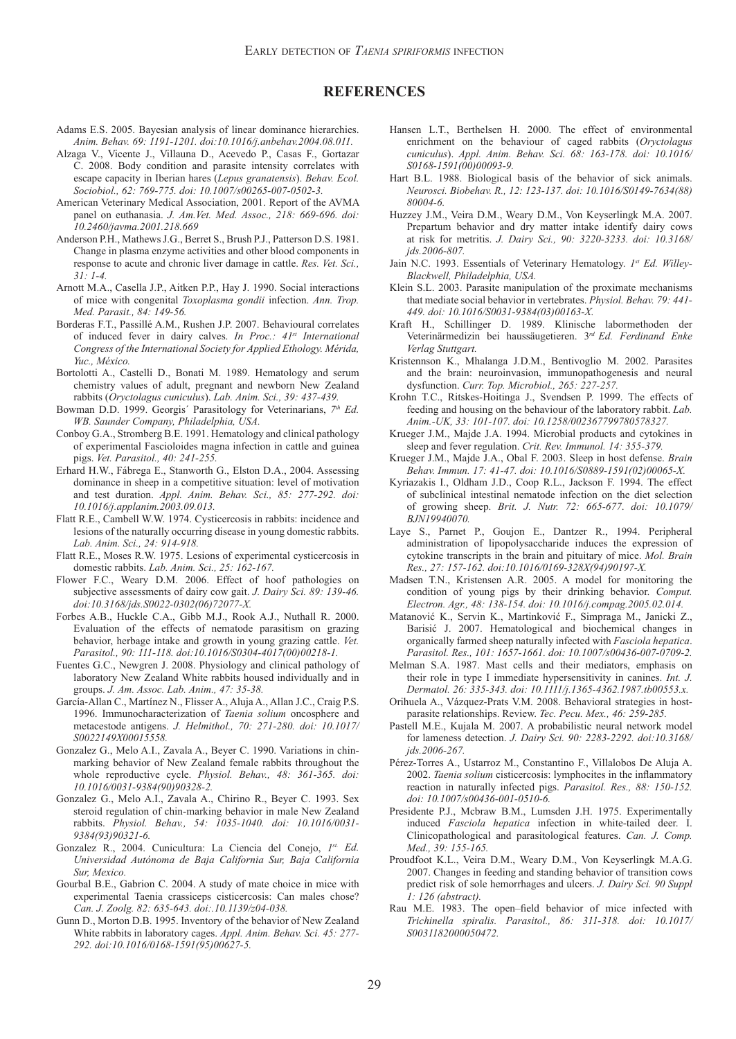#### **REFERENCES**

- Adams E.S. 2005. Bayesian analysis of linear dominance hierarchies. *Anim. Behav. 69: 1191-1201. doi:10.1016/j.anbehav.2004.08.011.*
- Alzaga V., Vicente J., Villauna D., Acevedo P., Casas F., Gortazar C. 2008. Body condition and parasite intensity correlates with escape capacity in Iberian hares (*Lepus granatensis*). *Behav. Ecol. Sociobiol., 62: 769-775. doi: 10.1007/s00265-007-0502-3.*
- American Veterinary Medical Association, 2001. Report of the AVMA panel on euthanasia. *J. Am.Vet. Med. Assoc., 218: 669-696. doi: 10.2460/javma.2001.218.669*
- Anderson P.H., Mathews J.G., Berret S., Brush P.J., Patterson D.S. 1981. Change in plasma enzyme activities and other blood components in response to acute and chronic liver damage in cattle. *Res. Vet. Sci., 31: 1-4.*
- Arnott M.A., Casella J.P., Aitken P.P., Hay J. 1990. Social interactions of mice with congenital *Toxoplasma gondii* infection. *Ann. Trop. Med. Parasit., 84: 149-56.*
- Borderas F.T., Passillé A.M., Rushen J.P. 2007. Behavioural correlates of induced fever in dairy calves. *In Proc.: 41st International Congress of the International Society for Applied Ethology. Mérida, Yuc., México.*
- Bortolotti A., Castelli D., Bonati M. 1989. Hematology and serum chemistry values of adult, pregnant and newborn New Zealand rabbits (*Oryctolagus cuniculus*). *Lab. Anim. Sci., 39: 437-439.*
- Bowman D.D. 1999. Georgis´ Parasitology for Veterinarians, *7th Ed. WB. Saunder Company, Philadelphia, USA.*
- Conboy G.A., Stromberg B.E. 1991. Hematology and clinical pathology of experimental Fascioloides magna infection in cattle and guinea pigs. *Vet. Parasitol., 40: 241-255.*
- Erhard H.W., Fábrega E., Stanworth G., Elston D.A., 2004. Assessing dominance in sheep in a competitive situation: level of motivation and test duration. *Appl. Anim. Behav. Sci., 85: 277-292. doi: 10.1016/j.applanim.2003.09.013.*
- Flatt R.E., Cambell W.W. 1974. Cysticercosis in rabbits: incidence and lesions of the naturally occurring disease in young domestic rabbits. *Lab. Anim. Sci., 24: 914-918.*
- Flatt R.E., Moses R.W. 1975. Lesions of experimental cysticercosis in domestic rabbits. *Lab. Anim. Sci., 25: 162-167.*
- Flower F.C., Weary D.M. 2006. Effect of hoof pathologies on subjective assessments of dairy cow gait. *J. Dairy Sci. 89: 139-46. doi:10.3168/jds.S0022-0302(06)72077-X.*
- Forbes A.B., Huckle C.A., Gibb M.J., Rook A.J., Nuthall R. 2000. Evaluation of the effects of nematode parasitism on grazing behavior, herbage intake and growth in young grazing cattle. *Vet. Parasitol., 90: 111-118. doi:10.1016/S0304-4017(00)00218-1.*
- Fuentes G.C., Newgren J. 2008. Physiology and clinical pathology of laboratory New Zealand White rabbits housed individually and in groups. *J. Am. Assoc. Lab. Anim., 47: 35-38.*
- García-Allan C., Martínez N., Flisser A., Aluja A., Allan J.C., Craig P.S. 1996. Immunocharacterization of *Taenia solium* oncosphere and metacestode antigens. *J. Helmithol., 70: 271-280. doi: 10.1017/ S0022149X00015558.*
- Gonzalez G., Melo A.I., Zavala A., Beyer C. 1990. Variations in chinmarking behavior of New Zealand female rabbits throughout the whole reproductive cycle. *Physiol. Behav., 48: 361-365. doi: 10.1016/0031-9384(90)90328-2.*
- Gonzalez G., Melo A.I., Zavala A., Chirino R., Beyer C. 1993. Sex steroid regulation of chin-marking behavior in male New Zealand rabbits. *Physiol. Behav., 54: 1035-1040. doi: 10.1016/0031- 9384(93)90321-6.*
- Gonzalez R., 2004. Cunicultura: La Ciencia del Conejo, *1st. Ed. Universidad Autónoma de Baja California Sur, Baja California Sur, Mexico.*
- Gourbal B.E., Gabrion C. 2004. A study of mate choice in mice with experimental Taenia crassiceps cisticercosis: Can males chose? *Can. J. Zoolg. 82: 635-643. doi:.10.1139/z04-038.*
- Gunn D., Morton D.B. 1995. Inventory of the behavior of New Zealand White rabbits in laboratory cages. *Appl. Anim. Behav. Sci. 45: 277- 292. doi:10.1016/0168-1591(95)00627-5.*
- Hansen L.T., Berthelsen H. 2000. The effect of environmental enrichment on the behaviour of caged rabbits (*Oryctolagus cuniculus*). *Appl. Anim. Behav. Sci. 68: 163-178. doi: 10.1016/ S0168-1591(00)00093-9.*
- Hart B.L. 1988. Biological basis of the behavior of sick animals. *Neurosci. Biobehav. R., 12: 123-137. doi: 10.1016/S0149-7634(88) 80004-6.*
- Huzzey J.M., Veira D.M., Weary D.M., Von Keyserlingk M.A. 2007. Prepartum behavior and dry matter intake identify dairy cows at risk for metritis. *J. Dairy Sci., 90: 3220-3233. doi: 10.3168/ jds.2006-807.*
- Jain N.C. 1993. Essentials of Veterinary Hematology. *1st Ed. Willey-Blackwell, Philadelphia, USA.*
- Klein S.L. 2003. Parasite manipulation of the proximate mechanisms that mediate social behavior in vertebrates. *Physiol. Behav. 79: 441- 449. doi: 10.1016/S0031-9384(03)00163-X.*
- Kraft H., Schillinger D. 1989. Klinische labormethoden der Veterinärmedizin bei haussäugetieren. 3*rd Ed. Ferdinand Enke Verlag Stuttgart.*
- Kristennson K., Mhalanga J.D.M., Bentivoglio M. 2002. Parasites and the brain: neuroinvasion, immunopathogenesis and neural dysfunction. *Curr. Top. Microbiol., 265: 227-257.*
- Krohn T.C., Ritskes-Hoitinga J., Svendsen P. 1999. The effects of feeding and housing on the behaviour of the laboratory rabbit. *Lab. Anim.-UK, 33: 101-107. doi: 10.1258/002367799780578327.*
- Krueger J.M., Majde J.A. 1994. Microbial products and cytokines in sleep and fever regulation. *Crit. Rev. Immunol. 14: 355-379.*
- Krueger J.M., Majde J.A., Obal F. 2003. Sleep in host defense. *Brain Behav. Immun. 17: 41-47. doi: 10.1016/S0889-1591(02)00065-X.*
- Kyriazakis I., Oldham J.D., Coop R.L., Jackson F. 1994. The effect of subclinical intestinal nematode infection on the diet selection of growing sheep. *Brit. J. Nutr. 72: 665-677*. *doi: 10.1079/ BJN19940070.*
- Laye S., Parnet P., Goujon E., Dantzer R., 1994. Peripheral administration of lipopolysaccharide induces the expression of cytokine transcripts in the brain and pituitary of mice. *Mol. Brain Res., 27: 157-162. doi:10.1016/0169-328X(94)90197-X.*
- Madsen T.N., Kristensen A.R. 2005. A model for monitoring the condition of young pigs by their drinking behavior. *Comput. Electron. Agr., 48: 138-154. doi: 10.1016/j.compag.2005.02.014.*
- Matanović K., Servin K., Martinković F., Simpraga M., Janicki Z., Barisić J. 2007. Hematological and biochemical changes in organically farmed sheep naturally infected with *Fasciola hepatica*. *Parasitol. Res., 101: 1657-1661. doi: 10.1007/s00436-007-0709-2.*
- Melman S.A. 1987. Mast cells and their mediators, emphasis on their role in type I immediate hypersensitivity in canines. *Int. J. Dermatol. 26: 335-343. doi: 10.1111/j.1365-4362.1987.tb00553.x.*
- Orihuela A., Vázquez-Prats V.M. 2008. Behavioral strategies in hostparasite relationships. Review. *Tec. Pecu. Mex., 46: 259-285.*
- Pastell M.E., Kujala M. 2007. A probabilistic neural network model for lameness detection. *J. Dairy Sci. 90: 2283-2292. doi:10.3168/ jds.2006-267.*
- Pérez-Torres A., Ustarroz M., Constantino F., Villalobos De Aluja A. 2002. *Taenia solium* cisticercosis: lymphocites in the inflammatory reaction in naturally infected pigs. *Parasitol. Res., 88: 150-152. doi: 10.1007/s00436-001-0510-6.*
- Presidente P.J., Mcbraw B.M., Lumsden J.H. 1975. Experimentally induced *Fasciola hepatica* infection in white-tailed deer. I. Clinicopathological and parasitological features. *Can. J. Comp. Med., 39: 155-165.*
- Proudfoot K.L., Veira D.M., Weary D.M., Von Keyserlingk M.A.G. 2007. Changes in feeding and standing behavior of transition cows predict risk of sole hemorrhages and ulcers. *J. Dairy Sci. 90 Suppl 1: 126 (abstract).*
- Rau M.E. 1983. The open–field behavior of mice infected with *Trichinella spiralis. Parasitol., 86: 311-318. doi: 10.1017/ S0031182000050472.*